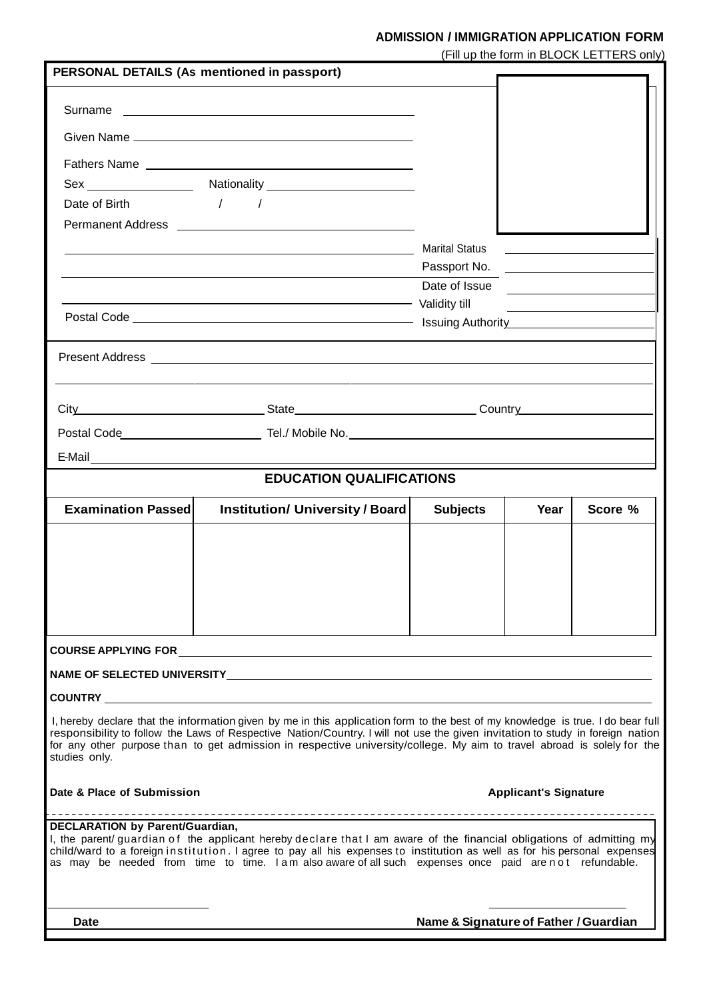## **ADMISSION / IMMIGRATION APPLICATION FORM**

(Fill up the form in BLOCK LETTERS only)

|                                        | PERSONAL DETAILS (As mentioned in passport)                                                                                                                                                                                                                                                                                                                                                  |                                       |                                                                                                                      |         |  |
|----------------------------------------|----------------------------------------------------------------------------------------------------------------------------------------------------------------------------------------------------------------------------------------------------------------------------------------------------------------------------------------------------------------------------------------------|---------------------------------------|----------------------------------------------------------------------------------------------------------------------|---------|--|
|                                        |                                                                                                                                                                                                                                                                                                                                                                                              |                                       |                                                                                                                      |         |  |
|                                        |                                                                                                                                                                                                                                                                                                                                                                                              |                                       |                                                                                                                      |         |  |
|                                        |                                                                                                                                                                                                                                                                                                                                                                                              |                                       |                                                                                                                      |         |  |
|                                        |                                                                                                                                                                                                                                                                                                                                                                                              |                                       |                                                                                                                      |         |  |
| Date of Birth                          | $\sqrt{1}$                                                                                                                                                                                                                                                                                                                                                                                   |                                       |                                                                                                                      |         |  |
|                                        |                                                                                                                                                                                                                                                                                                                                                                                              |                                       |                                                                                                                      |         |  |
|                                        |                                                                                                                                                                                                                                                                                                                                                                                              | <b>Marital Status</b>                 | <u> 1989 - Alexandria Statistik III.</u>                                                                             |         |  |
|                                        |                                                                                                                                                                                                                                                                                                                                                                                              |                                       |                                                                                                                      |         |  |
|                                        |                                                                                                                                                                                                                                                                                                                                                                                              | Date of Issue                         |                                                                                                                      |         |  |
|                                        | Validity till                                                                                                                                                                                                                                                                                                                                                                                |                                       | <u> La Carlo Carlo Carlo Carlo Carlo Carlo Carlo Carlo Carlo Carlo Carlo Carlo Carlo Carlo Carlo Carlo Carlo Car</u> |         |  |
|                                        |                                                                                                                                                                                                                                                                                                                                                                                              |                                       |                                                                                                                      |         |  |
|                                        | Present Address Lawrence and Contract and Contract and Contract and Contract and Contract and Contract and Contract and Contract and Contract and Contract and Contract and Contract and Contract and Contract and Contract an                                                                                                                                                               |                                       |                                                                                                                      |         |  |
|                                        |                                                                                                                                                                                                                                                                                                                                                                                              |                                       |                                                                                                                      |         |  |
|                                        |                                                                                                                                                                                                                                                                                                                                                                                              |                                       |                                                                                                                      |         |  |
|                                        |                                                                                                                                                                                                                                                                                                                                                                                              |                                       |                                                                                                                      |         |  |
|                                        | <b>EDUCATION QUALIFICATIONS</b>                                                                                                                                                                                                                                                                                                                                                              |                                       |                                                                                                                      |         |  |
| <b>Examination Passed</b>              | <b>Institution/ University / Board</b>                                                                                                                                                                                                                                                                                                                                                       | <b>Subjects</b>                       | Year                                                                                                                 | Score % |  |
|                                        |                                                                                                                                                                                                                                                                                                                                                                                              |                                       |                                                                                                                      |         |  |
|                                        |                                                                                                                                                                                                                                                                                                                                                                                              |                                       |                                                                                                                      |         |  |
|                                        |                                                                                                                                                                                                                                                                                                                                                                                              |                                       |                                                                                                                      |         |  |
|                                        |                                                                                                                                                                                                                                                                                                                                                                                              |                                       |                                                                                                                      |         |  |
|                                        |                                                                                                                                                                                                                                                                                                                                                                                              |                                       |                                                                                                                      |         |  |
|                                        |                                                                                                                                                                                                                                                                                                                                                                                              |                                       |                                                                                                                      |         |  |
|                                        |                                                                                                                                                                                                                                                                                                                                                                                              |                                       |                                                                                                                      |         |  |
|                                        |                                                                                                                                                                                                                                                                                                                                                                                              |                                       |                                                                                                                      |         |  |
| studies only.                          | I, hereby declare that the information given by me in this application form to the best of my knowledge is true. I do bear full<br>responsibility to follow the Laws of Respective Nation/Country. I will not use the given invitation to study in foreign nation<br>for any other purpose than to get admission in respective university/college. My aim to travel abroad is solely for the |                                       |                                                                                                                      |         |  |
| Date & Place of Submission             |                                                                                                                                                                                                                                                                                                                                                                                              |                                       | <b>Applicant's Signature</b>                                                                                         |         |  |
| <b>DECLARATION by Parent/Guardian,</b> | I, the parent/ guardian of the applicant hereby declare that I am aware of the financial obligations of admitting my<br>child/ward to a foreign institution. I agree to pay all his expenses to institution as well as for his personal expenses<br>as may be needed from time to time. I am also aware of all such expenses once paid are n ot refundable.                                  |                                       |                                                                                                                      |         |  |
| Date                                   |                                                                                                                                                                                                                                                                                                                                                                                              | Name & Signature of Father / Guardian |                                                                                                                      |         |  |